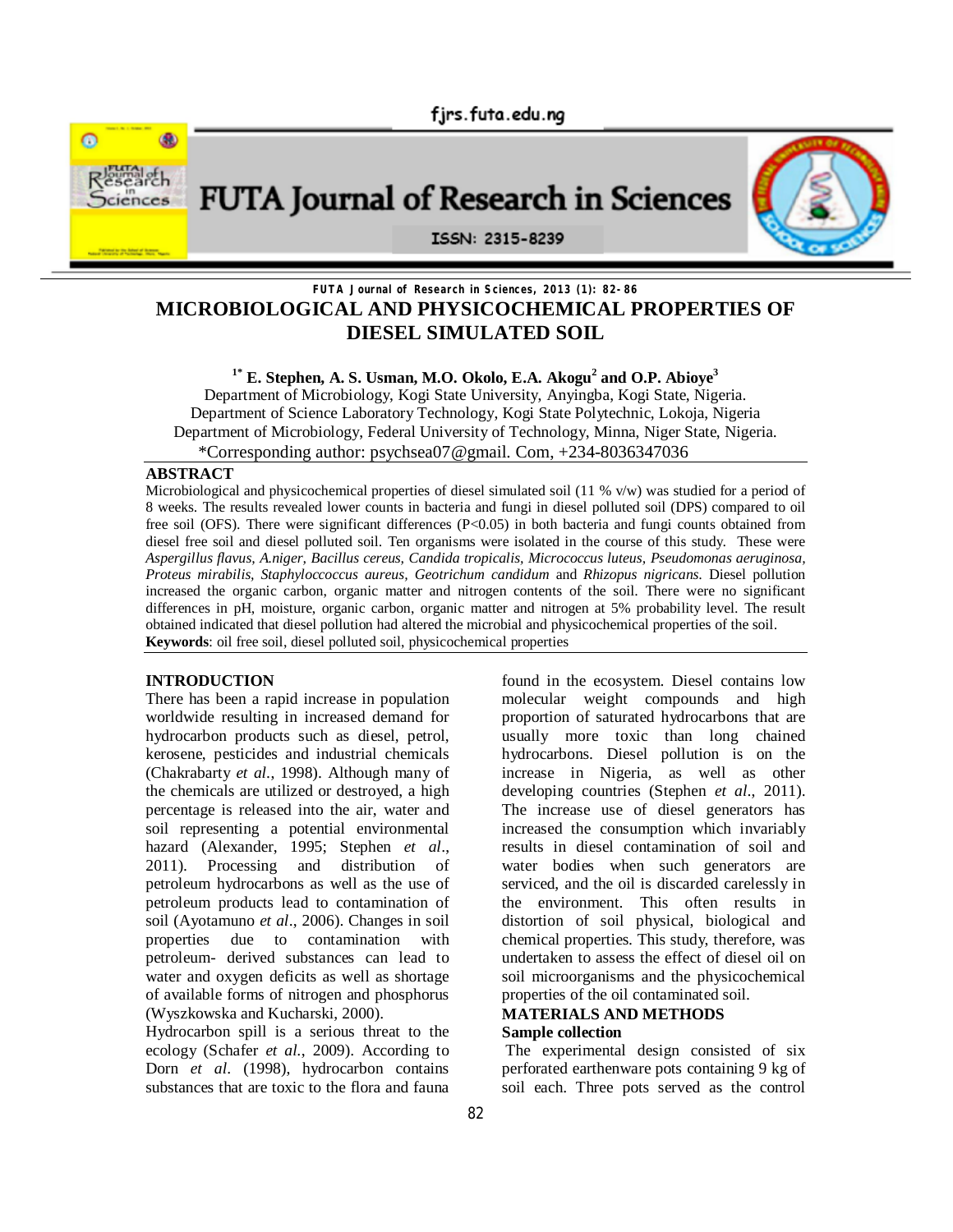

# FUTA Journal of Research in Sciences



## ISSN: 2315-8239

## **FUTA Journal of Research in Sciences, 2013 (1): 82-86 MICROBIOLOGICAL AND PHYSICOCHEMICAL PROPERTIES OF DIESEL SIMULATED SOIL**

## **1\* E. Stephen, A. S. Usman, M.O. Okolo, E.A. Akogu<sup>2</sup> and O.P. Abioye<sup>3</sup>**

Department of Microbiology, Kogi State University, Anyingba, Kogi State, Nigeria. Department of Science Laboratory Technology, Kogi State Polytechnic, Lokoja, Nigeria Department of Microbiology, Federal University of Technology, Minna, Niger State, Nigeria. \*Corresponding author: psychsea07@gmail. Com, +234-8036347036

## **ABSTRACT**

Microbiological and physicochemical properties of diesel simulated soil (11 % v/w) was studied for a period of 8 weeks. The results revealed lower counts in bacteria and fungi in diesel polluted soil (DPS) compared to oil free soil (OFS). There were significant differences (P<0.05) in both bacteria and fungi counts obtained from diesel free soil and diesel polluted soil. Ten organisms were isolated in the course of this study. These were *Aspergillus flavus, A.niger, Bacillus cereus, Candida tropicalis, Micrococcus luteus, Pseudomonas aeruginosa, Proteus mirabilis, Staphyloccoccus aureus, Geotrichum candidum* and *Rhizopus nigricans*. Diesel pollution increased the organic carbon, organic matter and nitrogen contents of the soil. There were no significant differences in pH, moisture, organic carbon, organic matter and nitrogen at 5% probability level. The result obtained indicated that diesel pollution had altered the microbial and physicochemical properties of the soil. **Keywords**: oil free soil, diesel polluted soil, physicochemical properties

#### **INTRODUCTION**

There has been a rapid increase in population worldwide resulting in increased demand for hydrocarbon products such as diesel, petrol, kerosene, pesticides and industrial chemicals (Chakrabarty *et al*., 1998). Although many of the chemicals are utilized or destroyed, a high percentage is released into the air, water and soil representing a potential environmental hazard (Alexander, 1995; Stephen *et al*., 2011). Processing and distribution of petroleum hydrocarbons as well as the use of petroleum products lead to contamination of soil (Ayotamuno *et al*., 2006). Changes in soil properties due to contamination with petroleum- derived substances can lead to water and oxygen deficits as well as shortage of available forms of nitrogen and phosphorus (Wyszkowska and Kucharski, 2000).

Hydrocarbon spill is a serious threat to the ecology (Schafer *et al.*, 2009). According to Dorn *et al*. (1998), hydrocarbon contains substances that are toxic to the flora and fauna

found in the ecosystem. Diesel contains low molecular weight compounds and high proportion of saturated hydrocarbons that are usually more toxic than long chained hydrocarbons. Diesel pollution is on the increase in Nigeria, as well as other developing countries (Stephen *et al*., 2011). The increase use of diesel generators has increased the consumption which invariably results in diesel contamination of soil and water bodies when such generators are serviced, and the oil is discarded carelessly in the environment. This often results in distortion of soil physical, biological and chemical properties. This study, therefore, was undertaken to assess the effect of diesel oil on soil microorganisms and the physicochemical properties of the oil contaminated soil.

#### **MATERIALS AND METHODS Sample collection**

 The experimental design consisted of six perforated earthenware pots containing 9 kg of soil each. Three pots served as the control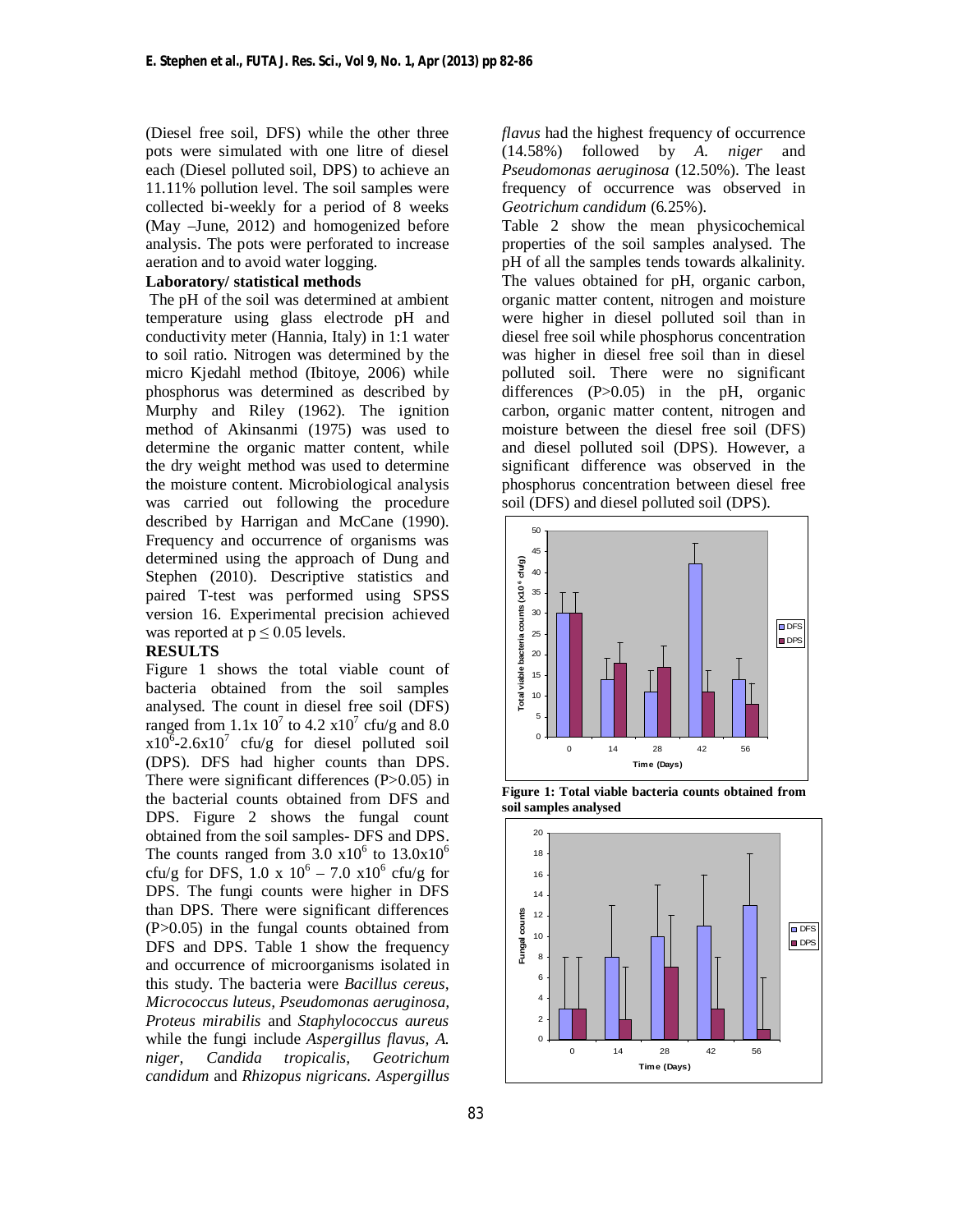(Diesel free soil, DFS) while the other three pots were simulated with one litre of diesel each (Diesel polluted soil, DPS) to achieve an 11.11% pollution level. The soil samples were collected bi-weekly for a period of 8 weeks (May –June, 2012) and homogenized before analysis. The pots were perforated to increase aeration and to avoid water logging.

## **Laboratory/ statistical methods**

The pH of the soil was determined at ambient temperature using glass electrode pH and conductivity meter (Hannia, Italy) in 1:1 water to soil ratio. Nitrogen was determined by the micro Kjedahl method (Ibitoye, 2006) while phosphorus was determined as described by Murphy and Riley (1962). The ignition method of Akinsanmi (1975) was used to determine the organic matter content, while the dry weight method was used to determine the moisture content. Microbiological analysis was carried out following the procedure described by Harrigan and McCane (1990). Frequency and occurrence of organisms was determined using the approach of Dung and Stephen (2010). Descriptive statistics and paired T-test was performed using SPSS version 16. Experimental precision achieved was reported at  $p \leq 0.05$  levels.

#### **RESULTS**

Figure 1 shows the total viable count of bacteria obtained from the soil samples analysed. The count in diesel free soil (DFS) ranged from  $1.1x\ 10^7$  to  $4.2 \times 10^7$  cfu/g and  $8.0$  $x10^6$ -2.6x10<sup>7</sup> cfu/g for diesel polluted soil (DPS). DFS had higher counts than DPS. There were significant differences (P>0.05) in the bacterial counts obtained from DFS and DPS. Figure 2 shows the fungal count obtained from the soil samples- DFS and DPS. The counts ranged from  $3.0 \times 10^6$  to  $13.0 \times 10^6$ cfu/g for DFS,  $1.0 \times 10^6 - 7.0 \times 10^6$  cfu/g for DPS. The fungi counts were higher in DFS than DPS. There were significant differences (P>0.05) in the fungal counts obtained from DFS and DPS. Table 1 show the frequency and occurrence of microorganisms isolated in this study. The bacteria were *Bacillus cereus, Micrococcus luteus, Pseudomonas aeruginosa, Proteus mirabilis* and *Staphylococcus aureus*  while the fungi include *Aspergillus flavus, A. niger, Candida tropicalis, Geotrichum candidum* and *Rhizopus nigricans. Aspergillus* 

*flavus* had the highest frequency of occurrence (14.58%) followed by *A. niger* and *Pseudomonas aeruginosa* (12.50%). The least frequency of occurrence was observed in *Geotrichum candidum* (6.25%).

Table 2 show the mean physicochemical properties of the soil samples analysed. The pH of all the samples tends towards alkalinity. The values obtained for pH, organic carbon, organic matter content, nitrogen and moisture were higher in diesel polluted soil than in diesel free soil while phosphorus concentration was higher in diesel free soil than in diesel polluted soil. There were no significant differences (P>0.05) in the pH, organic carbon, organic matter content, nitrogen and moisture between the diesel free soil (DFS) and diesel polluted soil (DPS). However, a significant difference was observed in the phosphorus concentration between diesel free soil (DFS) and diesel polluted soil (DPS).





**Figure 1: Total viable bacteria counts obtained from soil samples analysed**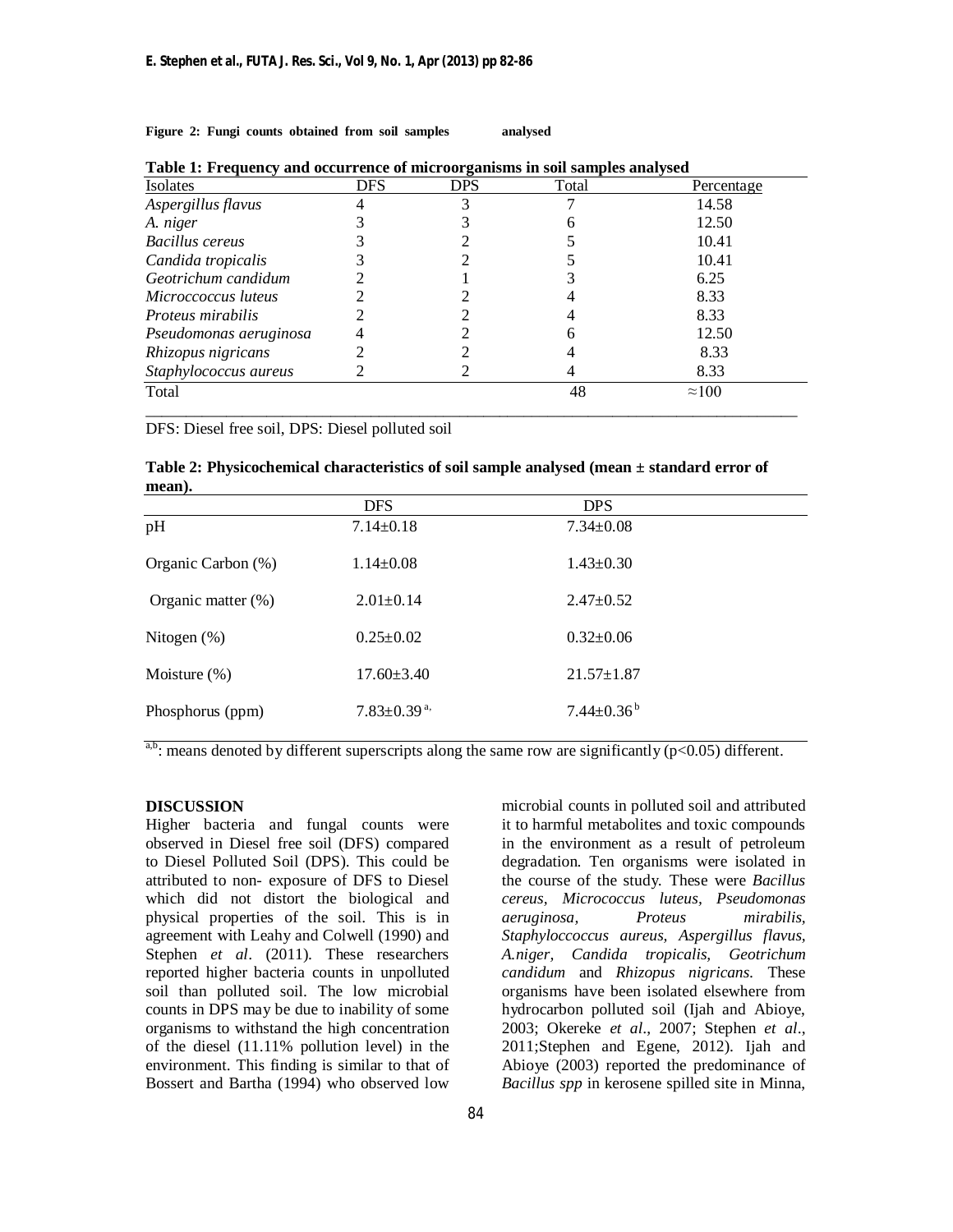**Figure 2: Fungi counts obtained from soil samples analysed** 

| Isolates                 | <b>DFS</b> | <b>DPS</b> | Total | Percentage    |
|--------------------------|------------|------------|-------|---------------|
| Aspergillus flavus       |            |            |       | 14.58         |
| A. niger                 |            |            |       | 12.50         |
| Bacillus cereus          |            |            |       | 10.41         |
| Candida tropicalis       |            |            |       | 10.41         |
| Geotrichum candidum      |            |            |       | 6.25          |
| Microccoccus luteus      |            |            |       | 8.33          |
| <i>Proteus mirabilis</i> |            |            |       | 8.33          |
| Pseudomonas aeruginosa   |            |            | h     | 12.50         |
| Rhizopus nigricans       |            |            |       | 8.33          |
| Staphylococcus aureus    |            |            |       | 8.33          |
| Total                    |            |            | 48    | $\approx 100$ |

\_\_\_\_\_\_\_\_\_\_\_\_\_\_\_\_\_\_\_\_\_\_\_\_\_\_\_\_\_\_\_\_\_\_\_\_\_\_\_\_\_\_\_\_\_\_\_\_\_\_\_\_\_\_\_\_\_\_\_\_\_\_\_\_\_\_\_\_\_\_\_\_\_\_\_\_\_\_\_\_\_

**Table 1: Frequency and occurrence of microorganisms in soil samples analysed**

DFS: Diesel free soil, DPS: Diesel polluted soil

| Table 2: Physicochemical characteristics of soil sample analysed (mean $\pm$ standard error of |  |
|------------------------------------------------------------------------------------------------|--|
| mean).                                                                                         |  |

| <b>DFS</b>                    | <b>DPS</b>                   |
|-------------------------------|------------------------------|
| $7.14 \pm 0.18$               | $7.34 \pm 0.08$              |
| $1.14 \pm 0.08$               | $1.43 \pm 0.30$              |
| $2.01 \pm 0.14$               | $2.47 \pm 0.52$              |
| $0.25 \pm 0.02$               | $0.32 \pm 0.06$              |
| $17.60 \pm 3.40$              | $21.57 \pm 1.87$             |
| $7.83 \pm 0.39$ <sup>a,</sup> | $7.44 \pm 0.36^{\mathrm{b}}$ |
|                               |                              |

<sup>a,b</sup>: means denoted by different superscripts along the same row are significantly ( $p < 0.05$ ) different.

#### **DISCUSSION**

Higher bacteria and fungal counts were observed in Diesel free soil (DFS) compared to Diesel Polluted Soil (DPS). This could be attributed to non- exposure of DFS to Diesel which did not distort the biological and physical properties of the soil. This is in agreement with Leahy and Colwell (1990) and Stephen *et al*. (2011). These researchers reported higher bacteria counts in unpolluted soil than polluted soil. The low microbial counts in DPS may be due to inability of some organisms to withstand the high concentration of the diesel (11.11% pollution level) in the environment. This finding is similar to that of Bossert and Bartha (1994) who observed low

microbial counts in polluted soil and attributed it to harmful metabolites and toxic compounds in the environment as a result of petroleum degradation. Ten organisms were isolated in the course of the study. These were *Bacillus cereus, Micrococcus luteus, Pseudomonas aeruginosa, Proteus mirabilis, Staphyloccoccus aureus, Aspergillus flavus, A.niger, Candida tropicalis, Geotrichum candidum* and *Rhizopus nigricans.* These organisms have been isolated elsewhere from hydrocarbon polluted soil (Ijah and Abioye, 2003; Okereke *et al*., 2007; Stephen *et al*., 2011;Stephen and Egene, 2012). Ijah and Abioye (2003) reported the predominance of *Bacillus spp* in kerosene spilled site in Minna,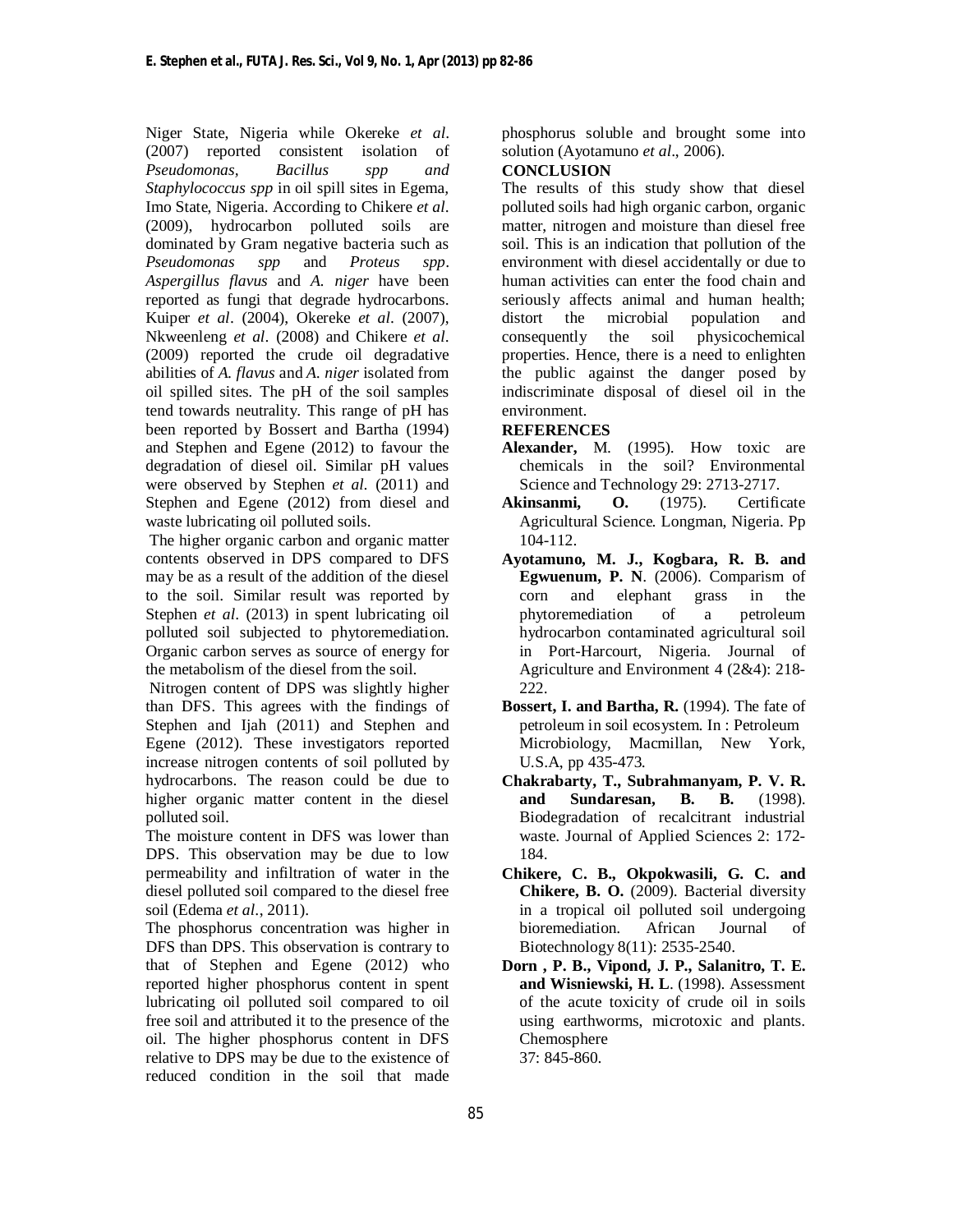Niger State, Nigeria while Okereke *et al*. (2007) reported consistent isolation of *Pseudomonas, Bacillus spp and Staphylococcus spp* in oil spill sites in Egema*,*  Imo State, Nigeria. According to Chikere *et al*. (2009), hydrocarbon polluted soils are dominated by Gram negative bacteria such as *Pseudomonas spp* and *Proteus spp*. *Aspergillus flavus* and *A. niger* have been reported as fungi that degrade hydrocarbons. Kuiper *et al*. (2004), Okereke *et al*. (2007), Nkweenleng *et al*. (2008) and Chikere *et al*. (2009) reported the crude oil degradative abilities of *A. flavus* and *A. niger* isolated from oil spilled sites. The pH of the soil samples tend towards neutrality. This range of pH has been reported by Bossert and Bartha (1994) and Stephen and Egene (2012) to favour the degradation of diesel oil. Similar pH values were observed by Stephen *et al.* (2011) and Stephen and Egene (2012) from diesel and waste lubricating oil polluted soils.

The higher organic carbon and organic matter contents observed in DPS compared to DFS may be as a result of the addition of the diesel to the soil. Similar result was reported by Stephen *et al*. (2013) in spent lubricating oil polluted soil subjected to phytoremediation. Organic carbon serves as source of energy for the metabolism of the diesel from the soil.

 Nitrogen content of DPS was slightly higher than DFS. This agrees with the findings of Stephen and Ijah (2011) and Stephen and Egene (2012). These investigators reported increase nitrogen contents of soil polluted by hydrocarbons. The reason could be due to higher organic matter content in the diesel polluted soil.

The moisture content in DFS was lower than DPS. This observation may be due to low permeability and infiltration of water in the diesel polluted soil compared to the diesel free soil (Edema *et al*., 2011).

The phosphorus concentration was higher in DFS than DPS. This observation is contrary to that of Stephen and Egene (2012) who reported higher phosphorus content in spent lubricating oil polluted soil compared to oil free soil and attributed it to the presence of the oil. The higher phosphorus content in DFS relative to DPS may be due to the existence of reduced condition in the soil that made

phosphorus soluble and brought some into solution (Ayotamuno *et al*., 2006).

## **CONCLUSION**

The results of this study show that diesel polluted soils had high organic carbon, organic matter, nitrogen and moisture than diesel free soil. This is an indication that pollution of the environment with diesel accidentally or due to human activities can enter the food chain and seriously affects animal and human health; distort the microbial population and consequently the soil physicochemical properties. Hence, there is a need to enlighten the public against the danger posed by indiscriminate disposal of diesel oil in the environment.

#### **REFERENCES**

- **Alexander,** M. (1995). How toxic are chemicals in the soil? Environmental Science and Technology 29: 2713-2717.
- **Akinsanmi, O.** (1975). Certificate Agricultural Science. Longman, Nigeria. Pp 104-112.
- **Ayotamuno, M. J., Kogbara, R. B. and Egwuenum, P. N**. (2006). Comparism of corn and elephant grass in the phytoremediation of a petroleum hydrocarbon contaminated agricultural soil in Port-Harcourt, Nigeria. Journal of Agriculture and Environment 4 (2&4): 218- 222.
- **Bossert, I. and Bartha, R.** (1994). The fate of petroleum in soil ecosystem. In : Petroleum Microbiology, Macmillan, New York, U.S.A, pp 435-473.
- **Chakrabarty, T., Subrahmanyam, P. V. R. and Sundaresan, B. B.** (1998). Biodegradation of recalcitrant industrial waste. Journal of Applied Sciences 2: 172- 184.
- **Chikere, C. B., Okpokwasili, G. C. and Chikere, B. O.** (2009). Bacterial diversity in a tropical oil polluted soil undergoing bioremediation. African Journal of Biotechnology 8(11): 2535-2540.
- **Dorn , P. B., Vipond, J. P., Salanitro, T. E. and Wisniewski, H. L**. (1998). Assessment of the acute toxicity of crude oil in soils using earthworms, microtoxic and plants. Chemosphere 37: 845-860.